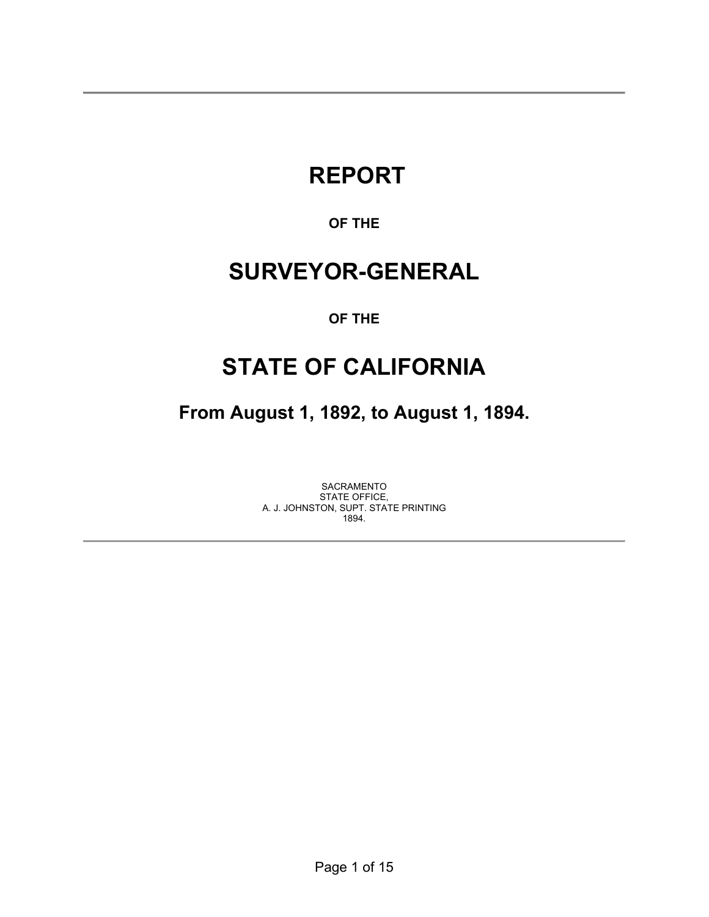# **REPORT**

# **OF THE**

# **SURVEYOR-GENERAL**

## **OF THE**

# **STATE OF CALIFORNIA**

**From August 1, 1892, to August 1, 1894.** 

SACRAMENTO STATE OFFICE, A. J. JOHNSTON, SUPT. STATE PRINTING 1894.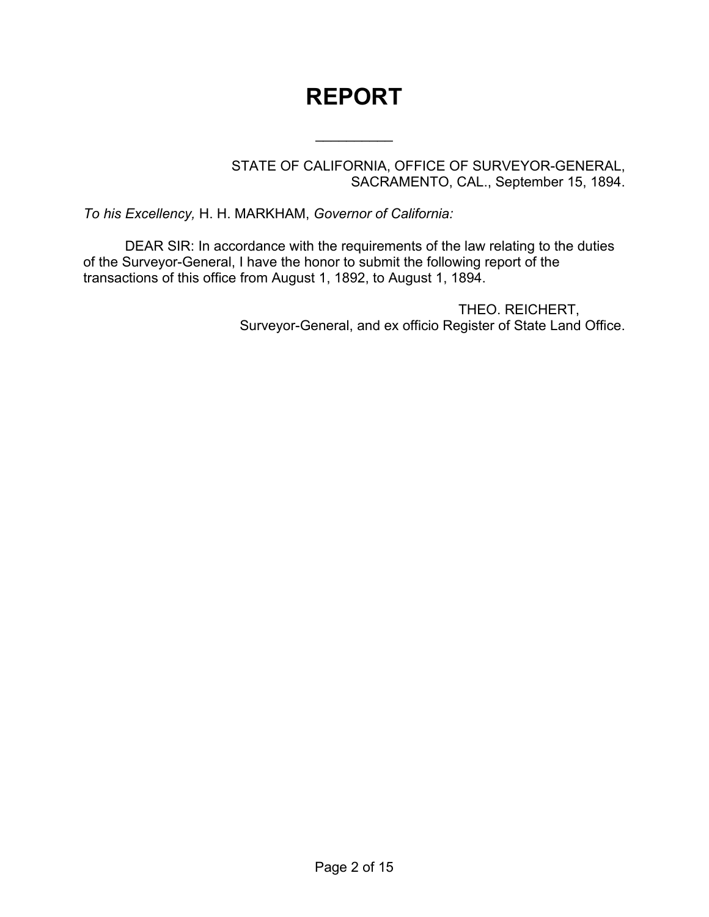# **REPORT**

 $\frac{1}{2}$ 

STATE OF CALIFORNIA, OFFICE OF SURVEYOR-GENERAL, SACRAMENTO, CAL., September 15, 1894.

*To his Excellency,* H. H. MARKHAM, *Governor of California:*

DEAR SIR: In accordance with the requirements of the law relating to the duties of the Surveyor-General, I have the honor to submit the following report of the transactions of this office from August 1, 1892, to August 1, 1894.

> THEO. REICHERT, Surveyor-General, and ex officio Register of State Land Office.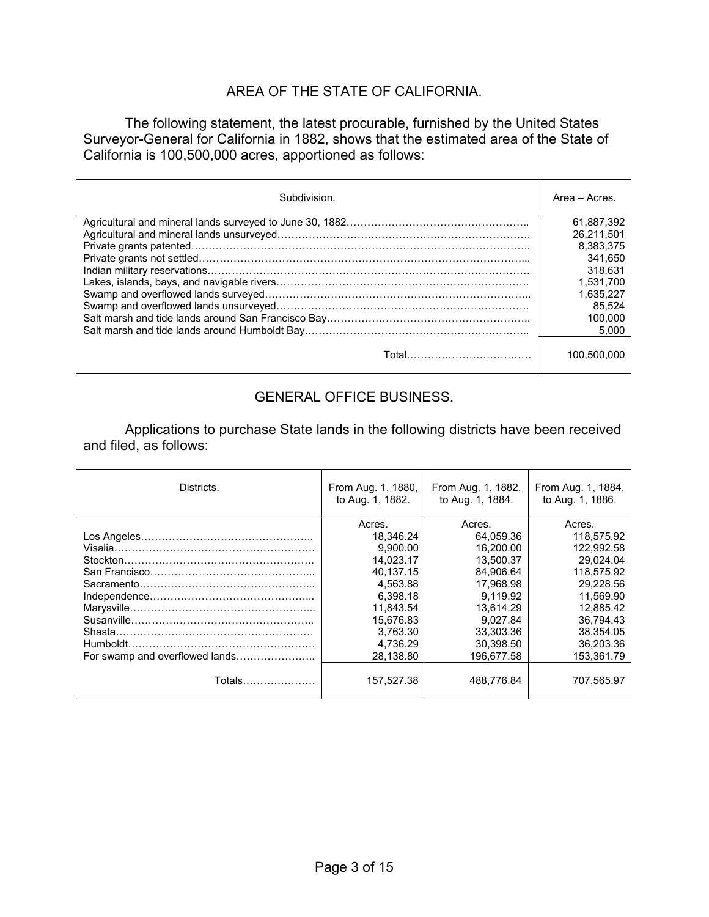### AREA OF THE STATE OF CALIFORNIA.

 The following statement, the latest procurable, furnished by the United States Surveyor-General for California in 1882, shows that the estimated area of the State of California is 100,500,000 acres, apportioned as follows:

| Subdivision. | Area - Acres. |
|--------------|---------------|
|              | 61.887.392    |
|              | 26.211.501    |
|              | 8.383.375     |
|              | 341.650       |
|              | 318.631       |
|              | 1.531.700     |
|              | 1.635.227     |
|              | 85.524        |
|              | 100.000       |
|              | 5,000         |
|              | 100,500,000   |

## GENERAL OFFICE BUSINESS.

 Applications to purchase State lands in the following districts have been received and filed, as follows:

| Districts.                     | From Aug. 1, 1880.<br>to Aug. 1, 1882. | From Aug. 1, 1882,<br>to Aug. 1, 1884. | From Aug. 1, 1884,<br>to Aug. 1, 1886. |
|--------------------------------|----------------------------------------|----------------------------------------|----------------------------------------|
|                                | Acres.                                 | Acres.                                 | Acres.                                 |
|                                | 18.346.24                              | 64.059.36                              | 118,575.92                             |
|                                | 9,900.00                               | 16,200.00                              | 122.992.58                             |
|                                | 14.023.17                              | 13.500.37                              | 29.024.04                              |
|                                | 40.137.15                              | 84.906.64                              | 118.575.92                             |
|                                | 4.563.88                               | 17.968.98                              | 29.228.56                              |
|                                | 6.398.18                               | 9.119.92                               | 11.569.90                              |
|                                | 11.843.54                              | 13.614.29                              | 12.885.42                              |
|                                | 15,676.83                              | 9.027.84                               | 36.794.43                              |
|                                | 3.763.30                               | 33.303.36                              | 38.354.05                              |
|                                | 4.736.29                               | 30.398.50                              | 36.203.36                              |
| For swamp and overflowed lands | 28.138.80                              | 196.677.58                             | 153.361.79                             |
| Totals…………………                  | 157.527.38                             | 488.776.84                             | 707.565.97                             |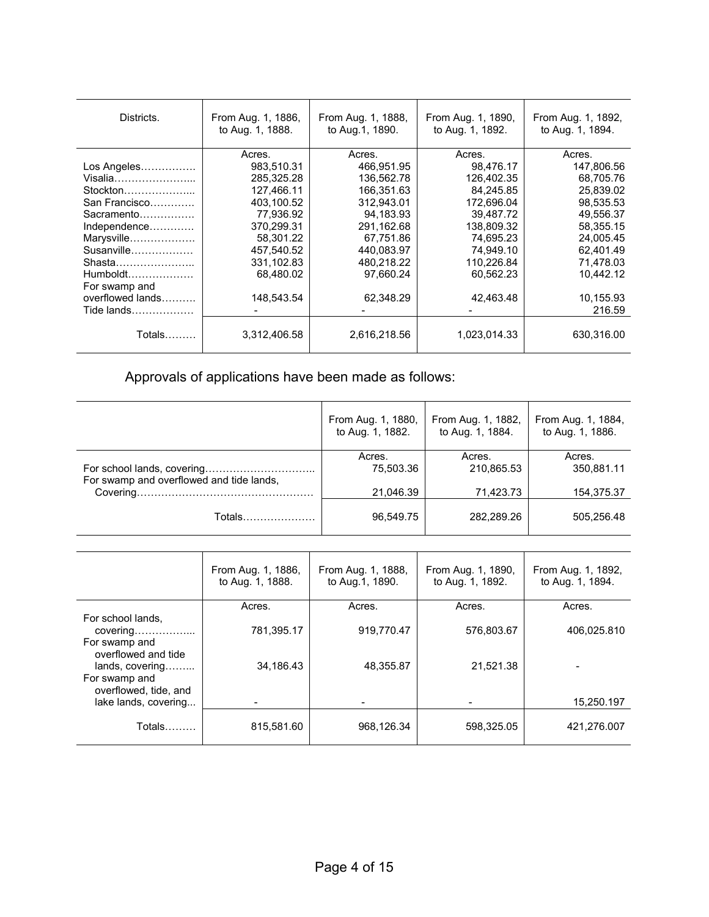| Districts.       | From Aug. 1, 1886,<br>to Aug. 1, 1888. | From Aug. 1, 1888,<br>to Aug. 1, 1890. | From Aug. 1, 1890,<br>to Aug. 1, 1892. | From Aug. 1, 1892,<br>to Aug. 1, 1894. |
|------------------|----------------------------------------|----------------------------------------|----------------------------------------|----------------------------------------|
|                  | Acres.                                 | Acres.                                 | Acres.                                 | Acres.                                 |
| Los Angeles      | 983,510.31                             | 466.951.95                             | 98,476.17                              | 147,806.56                             |
| Visalia          | 285,325.28                             | 136,562.78                             | 126,402.35                             | 68,705.76                              |
| Stockton         | 127.466.11                             | 166.351.63                             | 84.245.85                              | 25.839.02                              |
| San Francisco    | 403,100.52                             | 312,943.01                             | 172,696.04                             | 98,535.53                              |
| Sacramento       | 77,936.92                              | 94.183.93                              | 39.487.72                              | 49.556.37                              |
| Independence     | 370,299.31                             | 291,162.68                             | 138,809.32                             | 58.355.15                              |
| Marysville       | 58,301.22                              | 67,751.86                              | 74,695.23                              | 24,005.45                              |
| Susanville       | 457,540.52                             | 440.083.97                             | 74,949.10                              | 62,401.49                              |
| Shasta           | 331,102.83                             | 480.218.22                             | 110,226.84                             | 71.478.03                              |
|                  | 68,480.02                              | 97,660.24                              | 60,562.23                              | 10,442.12                              |
| For swamp and    |                                        |                                        |                                        |                                        |
| overflowed lands | 148,543.54                             | 62,348.29                              | 42,463.48                              | 10,155.93                              |
| Tide lands       |                                        |                                        |                                        | 216.59                                 |
| Totals………        | 3,312,406.58                           | 2,616,218.56                           | 1,023,014.33                           | 630,316.00                             |

Approvals of applications have been made as follows:

|                                          | From Aug. 1, 1880, | From Aug. 1, 1882, | From Aug. 1, 1884, |
|------------------------------------------|--------------------|--------------------|--------------------|
|                                          | to Aug. 1, 1882.   | to Aug. 1, 1884.   | to Aug. 1, 1886.   |
|                                          | Acres.             | Acres.             | Acres.             |
| For swamp and overflowed and tide lands, | 75,503.36          | 210,865.53         | 350,881.11         |
|                                          | 21.046.39          | 71,423.73          | 154,375.37         |
| Totals                                   | 96.549.75          | 282.289.26         | 505.256.48         |

|                                                           | From Aug. 1, 1886,<br>to Aug. 1, 1888. | From Aug. 1, 1888,<br>to Aug. 1, 1890. | From Aug. 1, 1890,<br>to Aug. 1, 1892. | From Aug. 1, 1892,<br>to Aug. 1, 1894. |
|-----------------------------------------------------------|----------------------------------------|----------------------------------------|----------------------------------------|----------------------------------------|
|                                                           | Acres.                                 | Acres.                                 | Acres.                                 | Acres.                                 |
| For school lands.<br>For swamp and<br>overflowed and tide | 781,395.17                             | 919,770.47                             | 576,803.67                             | 406,025.810                            |
| lands, covering                                           | 34,186.43                              | 48,355.87                              | 21,521.38                              |                                        |
| For swamp and<br>overflowed, tide, and                    |                                        |                                        |                                        |                                        |
| lake lands, covering                                      |                                        |                                        |                                        | 15,250.197                             |
| $Totals$                                                  | 815,581.60                             | 968,126.34                             | 598.325.05                             | 421.276.007                            |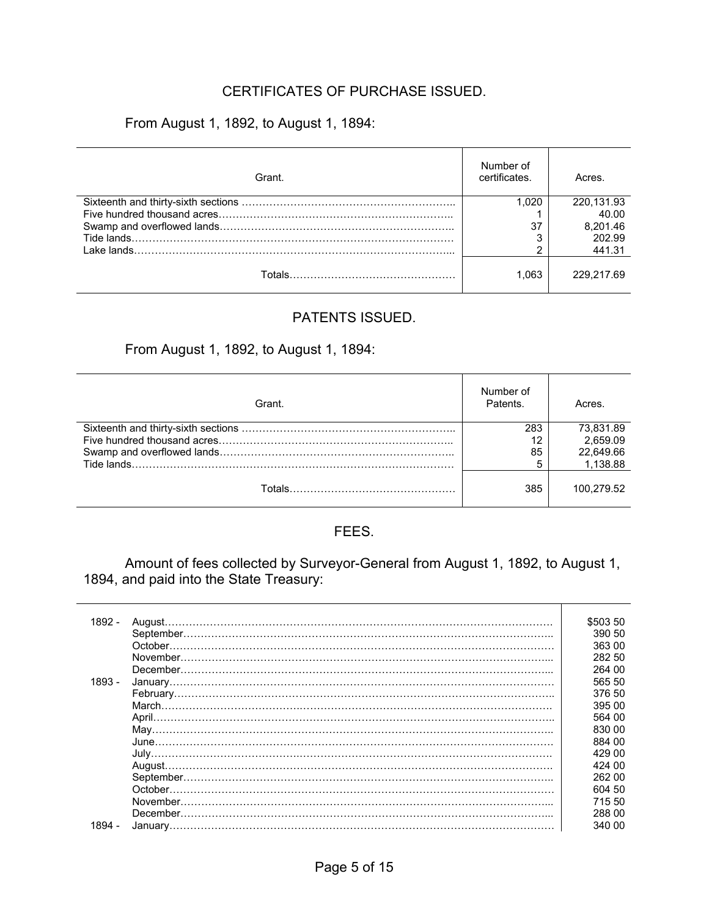## CERTIFICATES OF PURCHASE ISSUED.

From August 1, 1892, to August 1, 1894:

| Grant. | Number of<br>certificates. | Acres.     |
|--------|----------------------------|------------|
|        | 1.020                      | 220,131.93 |
|        |                            | 40.00      |
|        | 37                         | 8.201.46   |
|        |                            | 202.99     |
|        | ົ                          | 441.31     |
|        | 1.063                      | 229.217.69 |

#### PATENTS ISSUED.

### From August 1, 1892, to August 1, 1894:

| Grant. | Number of<br>Patents. | Acres.     |
|--------|-----------------------|------------|
|        | 283                   | 73.831.89  |
|        | 12                    | 2.659.09   |
|        | 85                    | 22.649.66  |
|        | 5                     | 1.138.88   |
|        | 385                   | 100.279.52 |

### FEES.

 Amount of fees collected by Surveyor-General from August 1, 1892, to August 1, 1894, and paid into the State Treasury:

| $1892 -$ |                                                                                                                                                                                                                                                                                                                                                                                                                                                                                                                                                                     | \$503 50 |
|----------|---------------------------------------------------------------------------------------------------------------------------------------------------------------------------------------------------------------------------------------------------------------------------------------------------------------------------------------------------------------------------------------------------------------------------------------------------------------------------------------------------------------------------------------------------------------------|----------|
|          |                                                                                                                                                                                                                                                                                                                                                                                                                                                                                                                                                                     | 390 50   |
|          |                                                                                                                                                                                                                                                                                                                                                                                                                                                                                                                                                                     | 363 00   |
|          | ${\bf November.}\label{def:nonlinear} \begin{minipage}[t]{.45\textwidth} \centering \begin{minipage}[t]{.45\textwidth} \centering \begin{minipage}[t]{.45\textwidth} \centering \centering \end{minipage} \begin{minipage}[t]{.45\textwidth} \centering \centering \end{minipage} \begin{minipage}[t]{.45\textwidth} \centering \begin{minipage}[t]{.45\textwidth} \centering \centering \end{minipage} \end{minipage} \begin{minipage}[t]{.45\textwidth} \centering \begin{minipage}[t]{.45\textwidth} \centering \centering \end{minipage} \end{minipage} \begin$ | 282 50   |
|          |                                                                                                                                                                                                                                                                                                                                                                                                                                                                                                                                                                     | 264 00   |
| $1893 -$ |                                                                                                                                                                                                                                                                                                                                                                                                                                                                                                                                                                     | 565 50   |
|          |                                                                                                                                                                                                                                                                                                                                                                                                                                                                                                                                                                     | 376 50   |
|          |                                                                                                                                                                                                                                                                                                                                                                                                                                                                                                                                                                     | 395 00   |
|          |                                                                                                                                                                                                                                                                                                                                                                                                                                                                                                                                                                     | 564 00   |
|          |                                                                                                                                                                                                                                                                                                                                                                                                                                                                                                                                                                     | 830 00   |
|          |                                                                                                                                                                                                                                                                                                                                                                                                                                                                                                                                                                     | 884 00   |
|          |                                                                                                                                                                                                                                                                                                                                                                                                                                                                                                                                                                     | 429 00   |
|          |                                                                                                                                                                                                                                                                                                                                                                                                                                                                                                                                                                     | 424 00   |
|          |                                                                                                                                                                                                                                                                                                                                                                                                                                                                                                                                                                     | 262 00   |
|          |                                                                                                                                                                                                                                                                                                                                                                                                                                                                                                                                                                     | 604 50   |
|          |                                                                                                                                                                                                                                                                                                                                                                                                                                                                                                                                                                     | 715 50   |
|          |                                                                                                                                                                                                                                                                                                                                                                                                                                                                                                                                                                     | 288 00   |
| 1894 -   |                                                                                                                                                                                                                                                                                                                                                                                                                                                                                                                                                                     | 340 00   |
|          |                                                                                                                                                                                                                                                                                                                                                                                                                                                                                                                                                                     |          |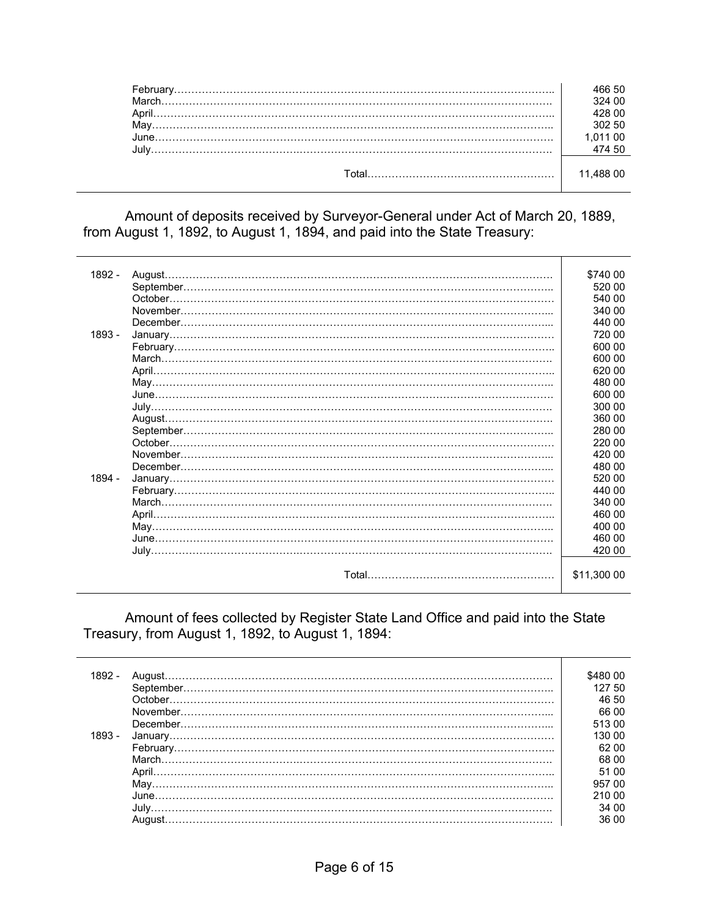|  | 324 በበ |
|--|--------|
|  |        |
|  | 302 50 |
|  |        |
|  |        |
|  |        |
|  |        |
|  |        |

 Amount of deposits received by Surveyor-General under Act of March 20, 1889, from August 1, 1892, to August 1, 1894, and paid into the State Treasury:

| 1892 - | August.                                                                                                                                                                                                                                                                                     | \$740 00    |
|--------|---------------------------------------------------------------------------------------------------------------------------------------------------------------------------------------------------------------------------------------------------------------------------------------------|-------------|
|        |                                                                                                                                                                                                                                                                                             | 520 00      |
|        | October.                                                                                                                                                                                                                                                                                    | 540 00      |
|        |                                                                                                                                                                                                                                                                                             | 340 00      |
|        | December.                                                                                                                                                                                                                                                                                   | 440 00      |
| 1893 - |                                                                                                                                                                                                                                                                                             | 720 00      |
|        |                                                                                                                                                                                                                                                                                             | 600 00      |
|        |                                                                                                                                                                                                                                                                                             | 600 00      |
|        |                                                                                                                                                                                                                                                                                             | 620 00      |
|        |                                                                                                                                                                                                                                                                                             | 480 00      |
|        |                                                                                                                                                                                                                                                                                             |             |
|        |                                                                                                                                                                                                                                                                                             | 600 00      |
|        |                                                                                                                                                                                                                                                                                             | 300 00      |
|        |                                                                                                                                                                                                                                                                                             | 360 00      |
|        |                                                                                                                                                                                                                                                                                             | 280 00      |
|        | October.                                                                                                                                                                                                                                                                                    | 220 00      |
|        |                                                                                                                                                                                                                                                                                             | 420 00      |
|        | December.                                                                                                                                                                                                                                                                                   | 480 00      |
| 1894 - |                                                                                                                                                                                                                                                                                             | 520 00      |
|        |                                                                                                                                                                                                                                                                                             | 440 00      |
|        | $\n  March ________ ________ ________ ________ ________ ________ ________ ________ ________ ________ ________ ________ ________ ________ ________ ________ ________ ________ ________ ________ ________ ________ ________ ________ ________ ________ ________ ________ ________ ________ <$ | 340 00      |
|        |                                                                                                                                                                                                                                                                                             | 460 00      |
|        |                                                                                                                                                                                                                                                                                             | 400 00      |
|        |                                                                                                                                                                                                                                                                                             | 460 00      |
|        |                                                                                                                                                                                                                                                                                             | 420 00      |
|        |                                                                                                                                                                                                                                                                                             |             |
|        |                                                                                                                                                                                                                                                                                             | \$11,300 00 |
|        |                                                                                                                                                                                                                                                                                             |             |

 Amount of fees collected by Register State Land Office and paid into the State Treasury, from August 1, 1892, to August 1, 1894:

| 1892 -<br>1893 - | \$480.00<br>127 50<br>46 50<br>66 00<br>513.00<br>130.00 |
|------------------|----------------------------------------------------------|
|                  | 62 00                                                    |
|                  | 68 00                                                    |
|                  | 5100                                                     |
|                  | 957 00                                                   |
|                  | 210.00                                                   |
|                  | 34 00                                                    |
|                  | 36.00                                                    |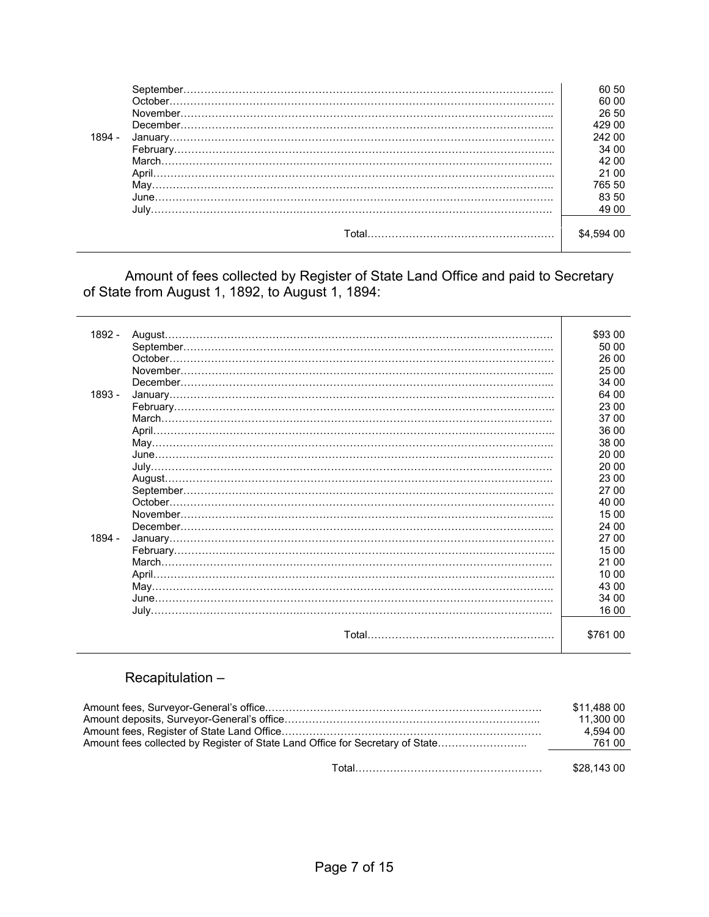|        |                          | 60 50   |
|--------|--------------------------|---------|
|        |                          | 60 00   |
|        |                          | 26 50   |
|        |                          | 429 00  |
| 1894 - |                          | 242 00  |
|        |                          | 34 00   |
|        |                          | 42.00   |
|        |                          | 21 00   |
|        |                          | 765 50  |
|        |                          | 83 50   |
|        |                          | 49.00   |
|        |                          |         |
|        | Total………………………………………………… | \$4.594 |
|        |                          |         |

 Amount of fees collected by Register of State Land Office and paid to Secretary of State from August 1, 1892, to August 1, 1894:

| 1892 - |         | \$93 00  |
|--------|---------|----------|
|        |         | 50 00    |
|        |         | 26 00    |
|        |         | 25 00    |
|        |         | 34 00    |
| 1893 - |         | 64 00    |
|        |         | 23 00    |
|        |         | 37 00    |
|        |         | 36 00    |
|        |         | 38 00    |
|        |         | 20 00    |
|        |         | 20 00    |
|        |         | 23 00    |
|        |         | 27 00    |
|        | October | 40 00    |
|        |         | 15 00    |
|        |         | 24 00    |
| 1894 - |         | 27 00    |
|        |         | 15 00    |
|        |         | 21 00    |
|        |         | 10 00    |
|        |         | 43 00    |
|        |         | 34 00    |
|        |         | 16 00    |
|        |         |          |
|        |         | \$761 00 |

# Recapitulation –

| \$11.488 00<br>11.300 00<br>4.594 00 |
|--------------------------------------|
| \$28.143.00                          |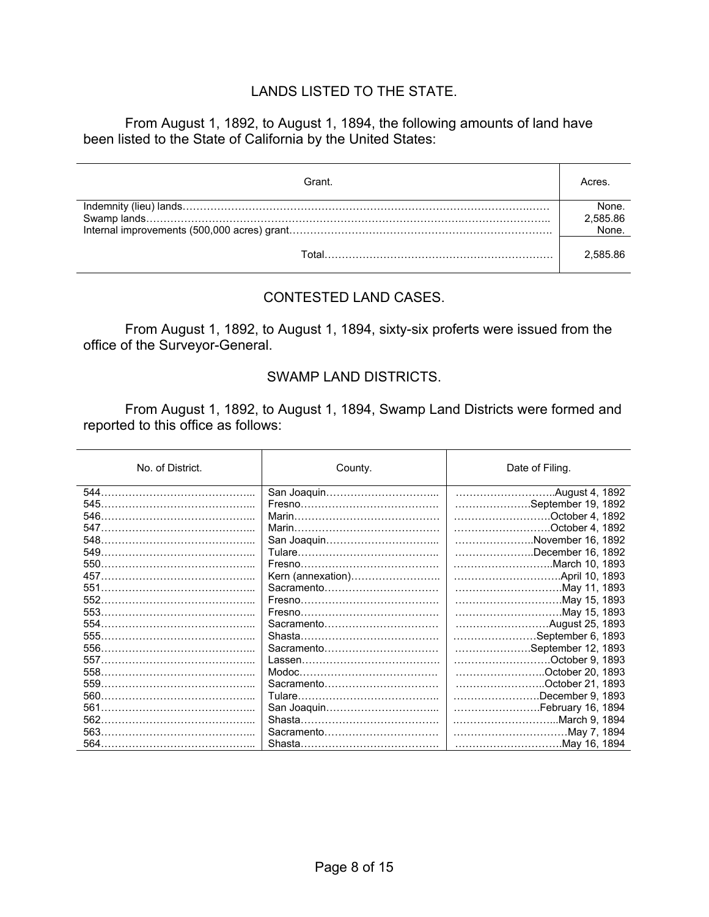### LANDS LISTED TO THE STATE.

From August 1, 1892, to August 1, 1894, the following amounts of land have been listed to the State of California by the United States:

| Grant. | Acres                      |
|--------|----------------------------|
|        | None.<br>2,585.86<br>.None |
| ั∩tall | 2.585.86                   |

#### CONTESTED LAND CASES.

 From August 1, 1892, to August 1, 1894, sixty-six proferts were issued from the office of the Surveyor-General.

#### SWAMP LAND DISTRICTS.

 From August 1, 1892, to August 1, 1894, Swamp Land Districts were formed and reported to this office as follows:

| No. of District. | County.           | Date of Filing.    |
|------------------|-------------------|--------------------|
|                  |                   | August 4, 1892     |
|                  |                   | September 19, 1892 |
| 546              |                   | October 4, 1892.   |
|                  |                   | October 4, 1892.   |
|                  |                   | November 16, 1892  |
| 549.             |                   | December 16, 1892  |
|                  |                   |                    |
|                  | Kern (annexation) |                    |
| 551              | Sacramento        | May 11, 1893       |
|                  |                   | May 15, 1893       |
|                  |                   | May 15, 1893       |
|                  | Sacramento        |                    |
|                  |                   | September 6, 1893  |
|                  | Sacramento        | September 12, 1893 |
|                  |                   | October 9, 1893    |
|                  |                   | October 20, 1893   |
|                  | Sacramento        | October 21, 1893   |
| 560              |                   | December 9, 1893   |
| 561              |                   | February 16, 1894  |
|                  |                   |                    |
|                  | Sacramento        | May 7, 1894        |
|                  |                   | May 16, 1894       |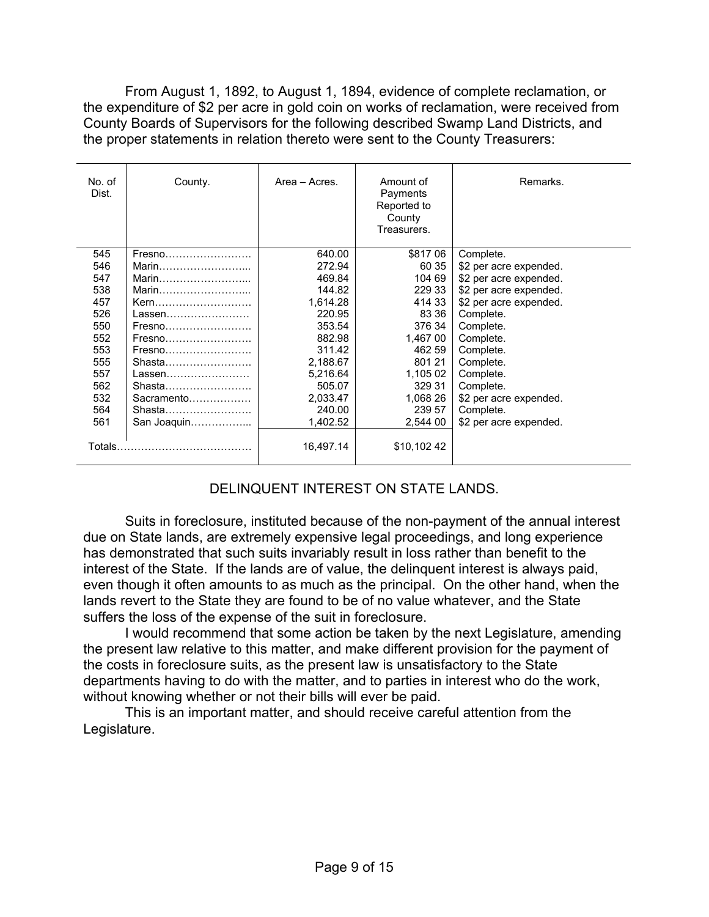From August 1, 1892, to August 1, 1894, evidence of complete reclamation, or the expenditure of \$2 per acre in gold coin on works of reclamation, were received from County Boards of Supervisors for the following described Swamp Land Districts, and the proper statements in relation thereto were sent to the County Treasurers:

| No. of<br>Dist. | County.     | Area - Acres. | Amount of<br>Payments<br>Reported to<br>County<br>Treasurers. | Remarks.               |
|-----------------|-------------|---------------|---------------------------------------------------------------|------------------------|
| 545             | Fresno      | 640.00        | \$817 06                                                      | Complete.              |
| 546             | Marin       | 272.94        | 60 35                                                         | \$2 per acre expended. |
| 547             | Marin       | 469.84        | 104 69                                                        | \$2 per acre expended. |
| 538             | Marin       | 144.82        | 229 33                                                        | \$2 per acre expended. |
| 457             | Kern        | 1,614.28      | 414 33                                                        | \$2 per acre expended. |
| 526             | Lassen      | 220.95        | 83 36                                                         | Complete.              |
| 550             | Fresno      | 353.54        | 376 34                                                        | Complete.              |
| 552             |             | 882.98        | 1,467 00                                                      | Complete.              |
| 553             | Fresno      | 311.42        | 462 59                                                        | Complete.              |
| 555             | Shasta      | 2,188.67      | 801 21                                                        | Complete.              |
| 557             | Lassen      | 5,216.64      | 1,105 02                                                      | Complete.              |
| 562             | Shasta      | 505.07        | 329 31                                                        | Complete.              |
| 532             | Sacramento  | 2,033.47      | 1,068 26                                                      | \$2 per acre expended. |
| 564             | Shasta      | 240.00        | 239 57                                                        | Complete.              |
| 561             | San Joaquin | 1,402.52      | 2,544 00                                                      | \$2 per acre expended. |
| Totals.         |             | 16,497.14     | \$10,102 42                                                   |                        |

## DELINQUENT INTEREST ON STATE LANDS.

 Suits in foreclosure, instituted because of the non-payment of the annual interest due on State lands, are extremely expensive legal proceedings, and long experience has demonstrated that such suits invariably result in loss rather than benefit to the interest of the State. If the lands are of value, the delinquent interest is always paid, even though it often amounts to as much as the principal. On the other hand, when the lands revert to the State they are found to be of no value whatever, and the State suffers the loss of the expense of the suit in foreclosure.

 I would recommend that some action be taken by the next Legislature, amending the present law relative to this matter, and make different provision for the payment of the costs in foreclosure suits, as the present law is unsatisfactory to the State departments having to do with the matter, and to parties in interest who do the work, without knowing whether or not their bills will ever be paid.

 This is an important matter, and should receive careful attention from the Legislature.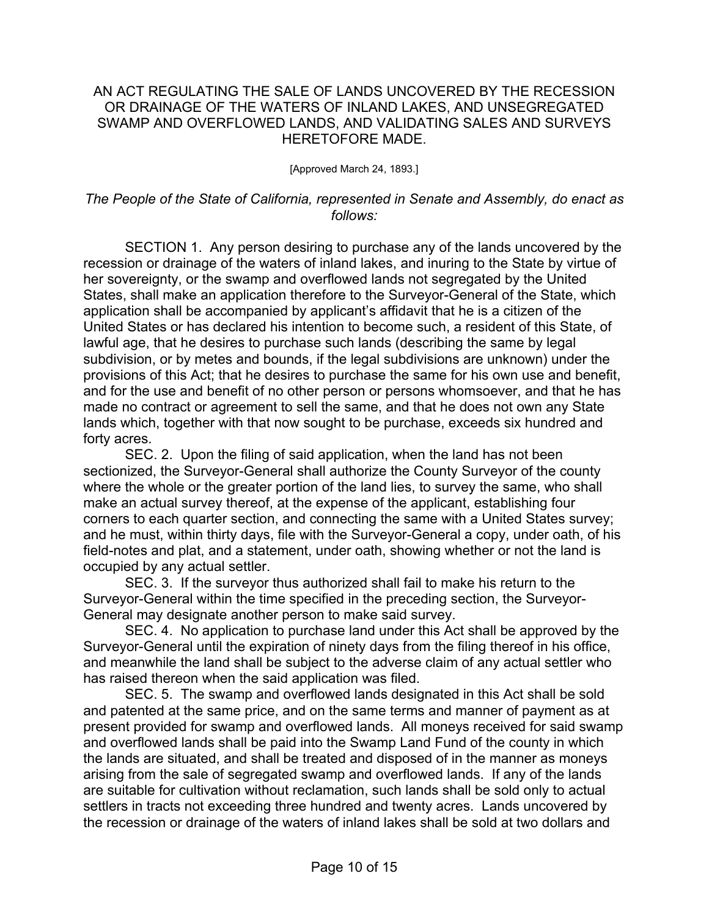#### AN ACT REGULATING THE SALE OF LANDS UNCOVERED BY THE RECESSION OR DRAINAGE OF THE WATERS OF INLAND LAKES, AND UNSEGREGATED SWAMP AND OVERFLOWED LANDS, AND VALIDATING SALES AND SURVEYS HERETOFORE MADE.

[Approved March 24, 1893.]

#### *The People of the State of California, represented in Senate and Assembly, do enact as follows:*

 SECTION 1. Any person desiring to purchase any of the lands uncovered by the recession or drainage of the waters of inland lakes, and inuring to the State by virtue of her sovereignty, or the swamp and overflowed lands not segregated by the United States, shall make an application therefore to the Surveyor-General of the State, which application shall be accompanied by applicant's affidavit that he is a citizen of the United States or has declared his intention to become such, a resident of this State, of lawful age, that he desires to purchase such lands (describing the same by legal subdivision, or by metes and bounds, if the legal subdivisions are unknown) under the provisions of this Act; that he desires to purchase the same for his own use and benefit, and for the use and benefit of no other person or persons whomsoever, and that he has made no contract or agreement to sell the same, and that he does not own any State lands which, together with that now sought to be purchase, exceeds six hundred and forty acres.

 SEC. 2. Upon the filing of said application, when the land has not been sectionized, the Surveyor-General shall authorize the County Surveyor of the county where the whole or the greater portion of the land lies, to survey the same, who shall make an actual survey thereof, at the expense of the applicant, establishing four corners to each quarter section, and connecting the same with a United States survey; and he must, within thirty days, file with the Surveyor-General a copy, under oath, of his field-notes and plat, and a statement, under oath, showing whether or not the land is occupied by any actual settler.

 SEC. 3. If the surveyor thus authorized shall fail to make his return to the Surveyor-General within the time specified in the preceding section, the Surveyor-General may designate another person to make said survey.

 SEC. 4. No application to purchase land under this Act shall be approved by the Surveyor-General until the expiration of ninety days from the filing thereof in his office, and meanwhile the land shall be subject to the adverse claim of any actual settler who has raised thereon when the said application was filed.

 SEC. 5. The swamp and overflowed lands designated in this Act shall be sold and patented at the same price, and on the same terms and manner of payment as at present provided for swamp and overflowed lands. All moneys received for said swamp and overflowed lands shall be paid into the Swamp Land Fund of the county in which the lands are situated, and shall be treated and disposed of in the manner as moneys arising from the sale of segregated swamp and overflowed lands. If any of the lands are suitable for cultivation without reclamation, such lands shall be sold only to actual settlers in tracts not exceeding three hundred and twenty acres. Lands uncovered by the recession or drainage of the waters of inland lakes shall be sold at two dollars and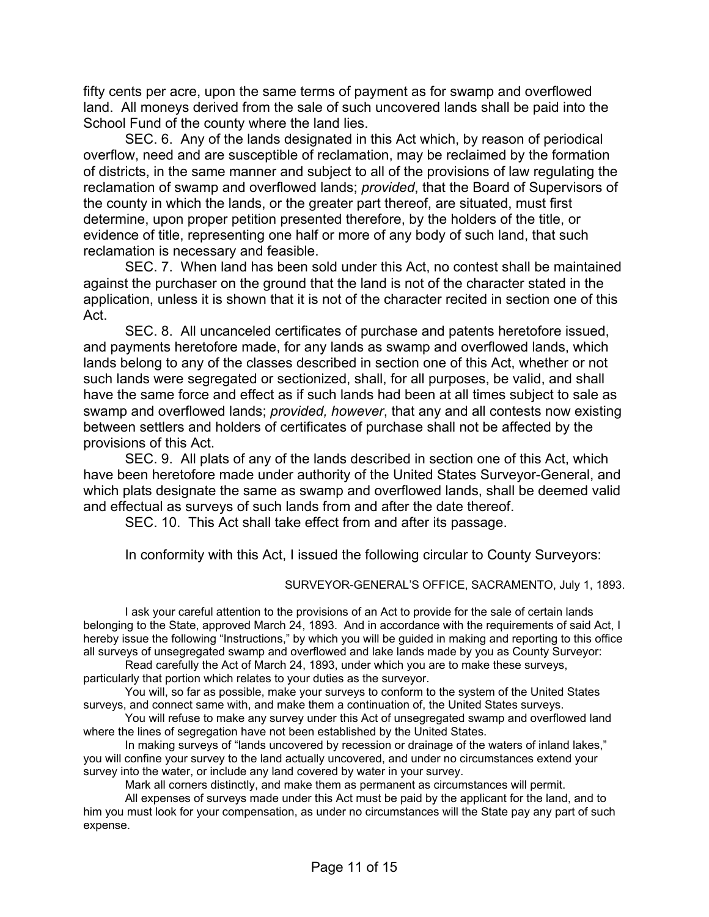fifty cents per acre, upon the same terms of payment as for swamp and overflowed land. All moneys derived from the sale of such uncovered lands shall be paid into the School Fund of the county where the land lies.

 SEC. 6. Any of the lands designated in this Act which, by reason of periodical overflow, need and are susceptible of reclamation, may be reclaimed by the formation of districts, in the same manner and subject to all of the provisions of law regulating the reclamation of swamp and overflowed lands; *provided*, that the Board of Supervisors of the county in which the lands, or the greater part thereof, are situated, must first determine, upon proper petition presented therefore, by the holders of the title, or evidence of title, representing one half or more of any body of such land, that such reclamation is necessary and feasible.

 SEC. 7. When land has been sold under this Act, no contest shall be maintained against the purchaser on the ground that the land is not of the character stated in the application, unless it is shown that it is not of the character recited in section one of this Act.

 SEC. 8. All uncanceled certificates of purchase and patents heretofore issued, and payments heretofore made, for any lands as swamp and overflowed lands, which lands belong to any of the classes described in section one of this Act, whether or not such lands were segregated or sectionized, shall, for all purposes, be valid, and shall have the same force and effect as if such lands had been at all times subject to sale as swamp and overflowed lands; *provided, however*, that any and all contests now existing between settlers and holders of certificates of purchase shall not be affected by the provisions of this Act.

 SEC. 9. All plats of any of the lands described in section one of this Act, which have been heretofore made under authority of the United States Surveyor-General, and which plats designate the same as swamp and overflowed lands, shall be deemed valid and effectual as surveys of such lands from and after the date thereof.

SEC. 10. This Act shall take effect from and after its passage.

In conformity with this Act, I issued the following circular to County Surveyors:

SURVEYOR-GENERAL'S OFFICE, SACRAMENTO, July 1, 1893.

 I ask your careful attention to the provisions of an Act to provide for the sale of certain lands belonging to the State, approved March 24, 1893. And in accordance with the requirements of said Act, I hereby issue the following "Instructions," by which you will be guided in making and reporting to this office all surveys of unsegregated swamp and overflowed and lake lands made by you as County Surveyor:

 Read carefully the Act of March 24, 1893, under which you are to make these surveys, particularly that portion which relates to your duties as the surveyor.

 You will, so far as possible, make your surveys to conform to the system of the United States surveys, and connect same with, and make them a continuation of, the United States surveys.

 You will refuse to make any survey under this Act of unsegregated swamp and overflowed land where the lines of segregation have not been established by the United States.

 In making surveys of "lands uncovered by recession or drainage of the waters of inland lakes," you will confine your survey to the land actually uncovered, and under no circumstances extend your survey into the water, or include any land covered by water in your survey.

Mark all corners distinctly, and make them as permanent as circumstances will permit.

 All expenses of surveys made under this Act must be paid by the applicant for the land, and to him you must look for your compensation, as under no circumstances will the State pay any part of such expense.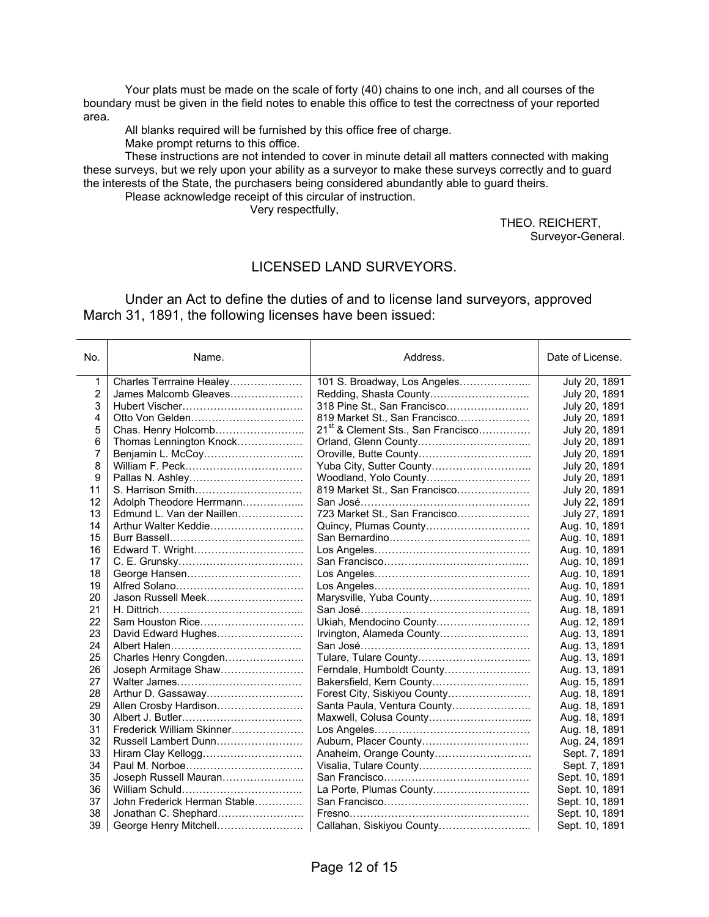Your plats must be made on the scale of forty (40) chains to one inch, and all courses of the boundary must be given in the field notes to enable this office to test the correctness of your reported area.

All blanks required will be furnished by this office free of charge.

Make prompt returns to this office.

 These instructions are not intended to cover in minute detail all matters connected with making these surveys, but we rely upon your ability as a surveyor to make these surveys correctly and to guard the interests of the State, the purchasers being considered abundantly able to guard theirs.

Please acknowledge receipt of this circular of instruction.

Very respectfully,

THEO. REICHERT, Surveyor-General.

#### LICENSED LAND SURVEYORS.

 Under an Act to define the duties of and to license land surveyors, approved March 31, 1891, the following licenses have been issued:

| No. | Name.                        | Address.                                       | Date of License. |
|-----|------------------------------|------------------------------------------------|------------------|
| 1   | Charles Terrraine Healey     | 101 S. Broadway, Los Angeles                   | July 20, 1891    |
| 2   | James Malcomb Gleaves        |                                                | July 20, 1891    |
| 3   |                              | 318 Pine St., San Francisco                    | July 20, 1891    |
| 4   |                              | 819 Market St., San Francisco                  | July 20, 1891    |
| 5   | Chas. Henry Holcomb          | 21 <sup>st</sup> & Clement Sts., San Francisco | July 20, 1891    |
| 6   | Thomas Lennington Knock      |                                                | July 20, 1891    |
| 7   |                              |                                                | July 20, 1891    |
| 8   |                              | Yuba City, Sutter County                       | July 20, 1891    |
| 9   |                              | Woodland, Yolo County                          | July 20, 1891    |
| 11  |                              | 819 Market St., San Francisco                  | July 20, 1891    |
| 12  | Adolph Theodore Herrmann     |                                                | July 22, 1891    |
| 13  | Edmund L. Van der Naillen    | 723 Market St., San Francisco                  | July 27, 1891    |
| 14  | Arthur Walter Keddie         | Quincy, Plumas County                          | Aug. 10, 1891    |
| 15  |                              |                                                | Aug. 10, 1891    |
| 16  | Edward T. Wright             |                                                | Aug. 10, 1891    |
| 17  |                              |                                                | Aug. 10, 1891    |
| 18  |                              |                                                | Aug. 10, 1891    |
| 19  |                              |                                                | Aug. 10, 1891    |
| 20  | Jason Russell Meek           | Marysville, Yuba County                        | Aug. 10, 1891    |
| 21  |                              |                                                | Aug. 18, 1891    |
| 22  | Sam Houston Rice             | Ukiah, Mendocino County                        | Aug. 12, 1891    |
| 23  | David Edward Hughes          | Irvington, Alameda County                      | Aug. 13, 1891    |
| 24  |                              |                                                | Aug. 13, 1891    |
| 25  | Charles Henry Congden        |                                                | Aug. 13, 1891    |
| 26  | Joseph Armitage Shaw         | Ferndale, Humboldt County                      | Aug. 13, 1891    |
| 27  |                              | Bakersfield, Kern County                       | Aug. 15, 1891    |
| 28  | Arthur D. Gassaway           |                                                | Aug. 18, 1891    |
| 29  | Allen Crosby Hardison        | Santa Paula, Ventura County                    | Aug. 18, 1891    |
| 30  |                              |                                                | Aug. 18, 1891    |
| 31  | Frederick William Skinner    |                                                | Aug. 18, 1891    |
| 32  | Russell Lambert Dunn         | Auburn, Placer County                          | Aug. 24, 1891    |
| 33  | Hiram Clay Kellogg           | Anaheim, Orange County                         | Sept. 7, 1891    |
| 34  |                              |                                                | Sept. 7, 1891    |
| 35  | Joseph Russell Mauran        |                                                | Sept. 10, 1891   |
| 36  |                              | La Porte, Plumas County                        | Sept. 10, 1891   |
| 37  | John Frederick Herman Stable |                                                | Sept. 10, 1891   |
| 38  | Jonathan C. Shephard         |                                                | Sept. 10, 1891   |
| 39  |                              |                                                | Sept. 10, 1891   |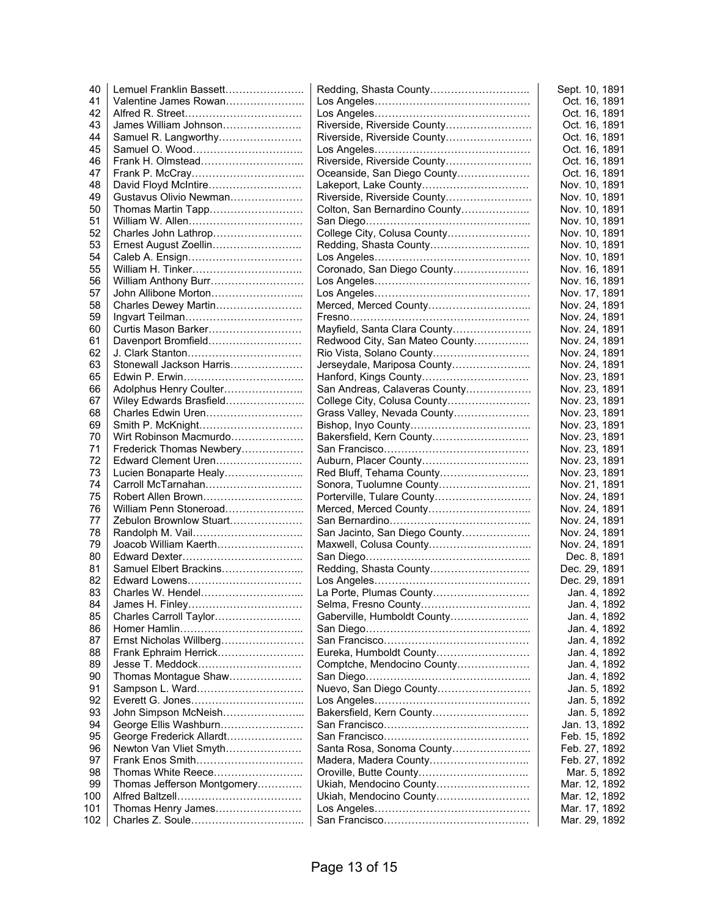| 40  | Lemuel Franklin Bassett     |                                | Sept. 10, 1891 |
|-----|-----------------------------|--------------------------------|----------------|
| 41  | Valentine James Rowan       |                                | Oct. 16, 1891  |
| 42  |                             |                                | Oct. 16, 1891  |
| 43  | James William Johnson       | Riverside, Riverside County    | Oct. 16, 1891  |
| 44  | Samuel R. Langworthy        | Riverside, Riverside County    | Oct. 16, 1891  |
| 45  |                             |                                | Oct. 16, 1891  |
| 46  | Frank H. Olmstead           | Riverside, Riverside County    | Oct. 16, 1891  |
| 47  |                             | Oceanside, San Diego County    | Oct. 16, 1891  |
| 48  | David Floyd McIntire        | Lakeport, Lake County          | Nov. 10, 1891  |
| 49  | Gustavus Olivio Newman      | Riverside, Riverside County    | Nov. 10, 1891  |
| 50  | Thomas Martin Tapp          | Colton, San Bernardino County  | Nov. 10, 1891  |
| 51  |                             |                                | Nov. 10, 1891  |
| 52  | Charles John Lathrop        | College City, Colusa County    | Nov. 10, 1891  |
| 53  | Ernest August Zoellin       |                                | Nov. 10, 1891  |
| 54  |                             |                                | Nov. 10, 1891  |
| 55  | William H. Tinker           | Coronado, San Diego County     | Nov. 16, 1891  |
| 56  | William Anthony Burr        |                                | Nov. 16, 1891  |
| 57  | John Allibone Morton        |                                | Nov. 17, 1891  |
| 58  | Charles Dewey Martin        | Merced, Merced County          | Nov. 24, 1891  |
| 59  |                             |                                | Nov. 24, 1891  |
| 60  | Curtis Mason Barker         | Mayfield, Santa Clara County   | Nov. 24, 1891  |
| 61  | Davenport Bromfield         | Redwood City, San Mateo County | Nov. 24, 1891  |
| 62  |                             |                                |                |
|     | Stonewall Jackson Harris    | Rio Vista, Solano County       | Nov. 24, 1891  |
| 63  |                             | Jerseydale, Mariposa County    | Nov. 24, 1891  |
| 65  |                             | Hanford, Kings County          | Nov. 23, 1891  |
| 66  | Adolphus Henry Coulter      | San Andreas, Calaveras County  | Nov. 23, 1891  |
| 67  | Wiley Edwards Brasfield     | College City, Colusa County    | Nov. 23, 1891  |
| 68  | Charles Edwin Uren          | Grass Valley, Nevada County    | Nov. 23, 1891  |
| 69  | Smith P. McKnight           |                                | Nov. 23, 1891  |
| 70  | Wirt Robinson Macmurdo      | Bakersfield, Kern County       | Nov. 23, 1891  |
| 71  | Frederick Thomas Newbery    |                                | Nov. 23, 1891  |
| 72  | Edward Clement Uren         | Auburn, Placer County          | Nov. 23, 1891  |
| 73  | Lucien Bonaparte Healy      | Red Bluff, Tehama County       | Nov. 23, 1891  |
| 74  | Carroll McTarnahan          |                                | Nov. 21, 1891  |
| 75  | Robert Allen Brown          | Porterville, Tulare County     | Nov. 24, 1891  |
| 76  | William Penn Stoneroad      | Merced, Merced County          | Nov. 24, 1891  |
| 77  | Zebulon Brownlow Stuart     |                                | Nov. 24, 1891  |
| 78  |                             | San Jacinto, San Diego County  | Nov. 24, 1891  |
| 79  | Joacob William Kaerth       | Maxwell, Colusa County         | Nov. 24, 1891  |
| 80  |                             |                                | Dec. 8, 1891   |
| 81  | Samuel Elbert Brackins      | Redding, Shasta County         | Dec. 29, 1891  |
| 82  | Edward Lowens               |                                | Dec. 29, 1891  |
| 83  | Charles W. Hendel           | La Porte, Plumas County        | Jan. 4, 1892   |
| 84  |                             | Selma, Fresno County           | Jan. 4, 1892   |
| 85  | Charles Carroll Taylor      | Gaberville, Humboldt County    | Jan. 4, 1892   |
| 86  |                             |                                | Jan. 4, 1892   |
| 87  | Ernst Nicholas Willberg     |                                | Jan. 4, 1892   |
| 88  | Frank Ephraim Herrick       | Eureka, Humboldt County        | Jan. 4, 1892   |
| 89  | Jesse T. Meddock            | Comptche, Mendocino County     | Jan. 4, 1892   |
| 90  | Thomas Montague Shaw        |                                | Jan. 4, 1892   |
| 91  | Sampson L. Ward             | Nuevo, San Diego County        | Jan. 5, 1892   |
| 92  |                             |                                | Jan. 5, 1892   |
| 93  | John Simpson McNeish        | Bakersfield, Kern County       | Jan. 5, 1892   |
| 94  | George Ellis Washburn       |                                | Jan. 13, 1892  |
| 95  | George Frederick Allardt    |                                | Feb. 15, 1892  |
| 96  | Newton Van Vliet Smyth      | Santa Rosa, Sonoma County      | Feb. 27, 1892  |
|     |                             |                                |                |
| 97  |                             |                                | Feb. 27, 1892  |
| 98  |                             |                                | Mar. 5, 1892   |
| 99  | Thomas Jefferson Montgomery | Ukiah, Mendocino County        | Mar. 12, 1892  |
| 100 |                             | Ukiah, Mendocino County        | Mar. 12, 1892  |
| 101 | Thomas Henry James          |                                | Mar. 17, 1892  |
| 102 |                             |                                | Mar. 29, 1892  |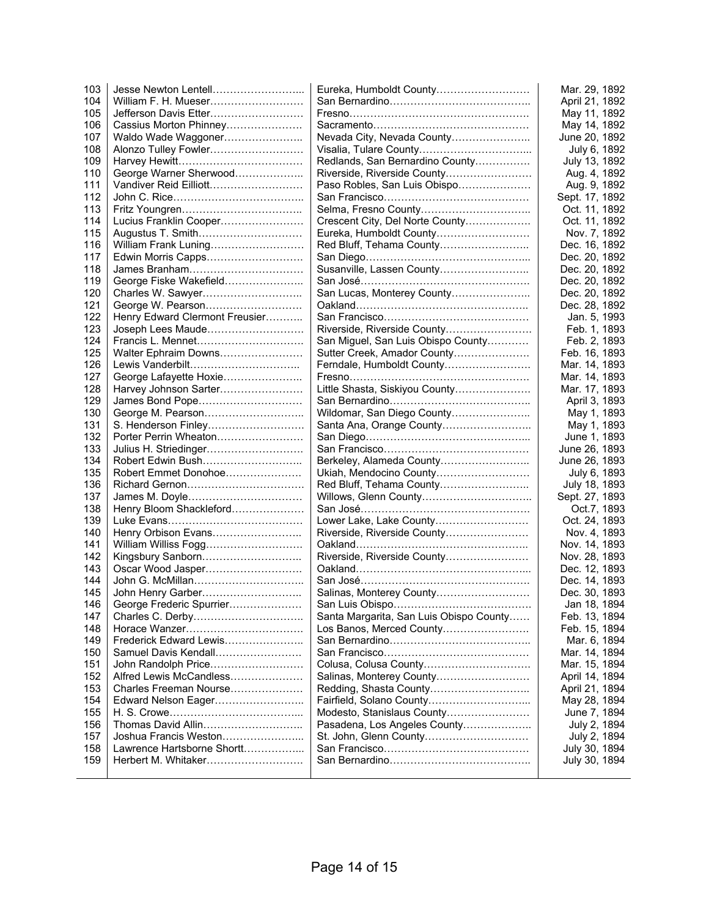| 103 | Jesse Newton Lentell           | Eureka, Humboldt County                 | Mar. 29, 1892  |
|-----|--------------------------------|-----------------------------------------|----------------|
| 104 | William F. H. Mueser           |                                         | April 21, 1892 |
| 105 | Jefferson Davis Etter          |                                         | May 11, 1892   |
| 106 | Cassius Morton Phinney         |                                         | May 14, 1892   |
| 107 | Waldo Wade Waggoner            | Nevada City, Nevada County              | June 20, 1892  |
| 108 | Alonzo Tulley Fowler           |                                         | July 6, 1892   |
| 109 |                                | Redlands, San Bernardino County         | July 13, 1892  |
| 110 | George Warner Sherwood         | Riverside, Riverside County             | Aug. 4, 1892   |
| 111 | Vandiver Reid Eilliott         | Paso Robles, San Luis Obispo            | Aug. 9, 1892   |
|     |                                |                                         |                |
| 112 |                                |                                         | Sept. 17, 1892 |
| 113 |                                |                                         | Oct. 11, 1892  |
| 114 | Lucius Franklin Cooper         | Crescent City, Del Norte County         | Oct. 11, 1892  |
| 115 | Augustus T. Smith              | Eureka, Humboldt County                 | Nov. 7, 1892   |
| 116 | William Frank Luning           |                                         | Dec. 16, 1892  |
| 117 |                                |                                         | Dec. 20, 1892  |
| 118 |                                | Susanville, Lassen County               | Dec. 20, 1892  |
| 119 | George Fiske Wakefield         |                                         | Dec. 20, 1892  |
| 120 | Charles W. Sawyer              | San Lucas, Monterey County              | Dec. 20, 1892  |
| 121 | George W. Pearson              |                                         | Dec. 28, 1892  |
| 122 | Henry Edward Clermont Freusier |                                         | Jan. 5, 1993   |
| 123 | Joseph Lees Maude              | Riverside, Riverside County             | Feb. 1, 1893   |
| 124 | Francis L. Mennet              | San Miguel, San Luis Obispo County      | Feb. 2, 1893   |
| 125 | Walter Ephraim Downs           | Sutter Creek, Amador County             | Feb. 16, 1893  |
| 126 | Lewis Vanderbilt               | Ferndale, Humboldt County               |                |
|     |                                |                                         | Mar. 14, 1893  |
| 127 | George Lafayette Hoxie         |                                         | Mar. 14, 1893  |
| 128 | Harvey Johnson Sarter          | Little Shasta, Siskiyou County          | Mar. 17, 1893  |
| 129 | James Bond Pope                |                                         | April 3, 1893  |
| 130 | George M. Pearson              | Wildomar, San Diego County              | May 1, 1893    |
| 131 | S. Henderson Finley            | Santa Ana, Orange County                | May 1, 1893    |
| 132 | Porter Perrin Wheaton          |                                         | June 1, 1893   |
| 133 |                                |                                         | June 26, 1893  |
| 134 | Robert Edwin Bush              | Berkeley, Alameda County                | June 26, 1893  |
| 135 | Robert Emmet Donohoe           | Ukiah, Mendocino County                 | July 6, 1893   |
| 136 |                                |                                         | July 18, 1893  |
| 137 | James M. Doyle                 |                                         | Sept. 27, 1893 |
| 138 | Henry Bloom Shackleford        |                                         | Oct.7, 1893    |
| 139 |                                | Lower Lake, Lake County                 | Oct. 24, 1893  |
| 140 | Henry Orbison Evans            | Riverside, Riverside County             | Nov. 4, 1893   |
| 141 | William Williss Fogg           |                                         | Nov. 14, 1893  |
| 142 | Kingsbury Sanborn              | Riverside, Riverside County             | Nov. 28, 1893  |
| 143 |                                |                                         |                |
|     | Oscar Wood Jasper              |                                         | Dec. 12, 1893  |
| 144 | John G. McMillan               |                                         | Dec. 14, 1893  |
| 145 | John Henry Garber              | Salinas, Monterey County                | Dec. 30, 1893  |
| 146 | George Frederic Spurrier       |                                         | Jan 18, 1894   |
| 147 |                                | Santa Margarita, San Luis Obispo County | Feb. 13, 1894  |
| 148 |                                | Los Banos, Merced County                | Feb. 15, 1894  |
| 149 | Frederick Edward Lewis         |                                         | Mar. 6, 1894   |
| 150 | Samuel Davis Kendall           |                                         | Mar. 14, 1894  |
| 151 | John Randolph Price            | Colusa, Colusa County                   | Mar. 15, 1894  |
| 152 | Alfred Lewis McCandless        | Salinas, Monterey County                | April 14, 1894 |
| 153 | Charles Freeman Nourse         |                                         | April 21, 1894 |
| 154 | Edward Nelson Eager            |                                         | May 28, 1894   |
| 155 |                                | Modesto, Stanislaus County              | June 7, 1894   |
| 156 | Thomas David Allin             | Pasadena, Los Angeles County            | July 2, 1894   |
| 157 | Joshua Francis Weston          | St. John, Glenn County                  | July 2, 1894   |
| 158 | Lawrence Hartsborne Shortt     |                                         | July 30, 1894  |
| 159 | Herbert M. Whitaker            |                                         | July 30, 1894  |
|     |                                |                                         |                |
|     |                                |                                         |                |